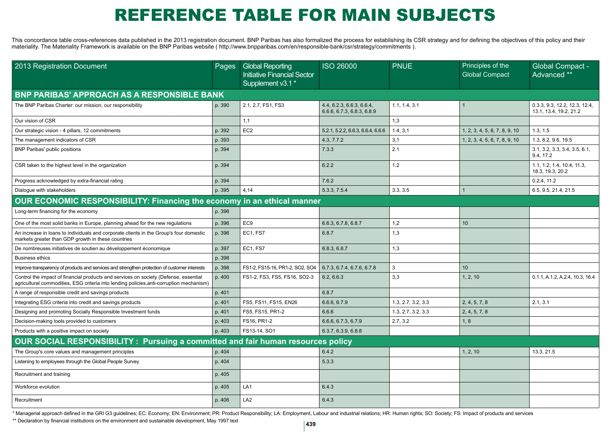## REFERENCE TABLE FOR MAIN SUBJECTS

This concordance table cross-references data published in the 2013 registration document. BNP Paribas has also formalized the process for establishing its CSR strategy and for defining the objectives of this policy and the materiality. The Materiality Framework is available on the BNP Paribas website ( http://www.bnpparibas.com/en/responsible-bank/csr/strategy/commitments ).

| 2013 Registration Document                                                                                                                                                       | Pages  | <b>Global Reporting</b><br><b>Initiative Financial Sector</b><br>Supplement v3.1* | <b>ISO 26000</b>                                        | <b>PNUE</b>        | Principles of the<br><b>Global Compact</b> | Global Compact -<br>Advanced **                         |  |  |  |  |
|----------------------------------------------------------------------------------------------------------------------------------------------------------------------------------|--------|-----------------------------------------------------------------------------------|---------------------------------------------------------|--------------------|--------------------------------------------|---------------------------------------------------------|--|--|--|--|
| <b>BNP PARIBAS' APPROACH AS A RESPONSIBLE BANK</b>                                                                                                                               |        |                                                                                   |                                                         |                    |                                            |                                                         |  |  |  |  |
| The BNP Paribas Charter: our mission, our responsibility                                                                                                                         | p. 390 | 2.1, 2.7, FS1, FS3                                                                | 4.4, 6.2.3, 6.6.3, 6.6.4,<br>6.6.6, 6.7.3, 6.8.3, 6.8.9 | 1.1, 1.4, 3.1      | $\overline{1}$                             | 0.3.3, 9.3, 12.2, 12.3, 12.4,<br>13.1, 13.4, 19.2, 21.2 |  |  |  |  |
| Our vision of CSR                                                                                                                                                                |        | 1,1                                                                               |                                                         | 1,3                |                                            |                                                         |  |  |  |  |
| Our strategic vision - 4 pillars, 12 commitments                                                                                                                                 | p. 392 | EC <sub>2</sub>                                                                   | 5.2.1, 5.2.2, 6.6.3, 6.6.4, 6.6.6                       | 1.4, 3.1           | 1, 2, 3, 4, 5, 6, 7, 8, 9, 10              | 1.3, 1.5                                                |  |  |  |  |
| The management indicators of CSR                                                                                                                                                 | p. 393 |                                                                                   | 4.3, 7.7.2                                              | 3,1                | 1, 2, 3, 4, 5, 6, 7, 8, 9, 10              | 1.3. 8.2. 9.6. 19.5                                     |  |  |  |  |
| <b>BNP Paribas' public positions</b>                                                                                                                                             | p. 394 |                                                                                   | 7.3.3                                                   | 2.1                |                                            | 3.1, 3.2, 3.3, 3.4, 3.5, 6.1,<br>9.4.17.2               |  |  |  |  |
| CSR taken to the highest level in the organization                                                                                                                               | p. 394 |                                                                                   | 6.2.2                                                   | 1.2                |                                            | 1.1, 1.2, 1.4, 10.4, 11.3,<br>18.3, 19.3, 20.2          |  |  |  |  |
| Progress acknowledged by extra-financial rating                                                                                                                                  | p. 394 |                                                                                   | 7.6.2                                                   |                    |                                            | 0.2.4, 11.2                                             |  |  |  |  |
| Dialogue with stakeholders                                                                                                                                                       | p. 395 | 4.14                                                                              | 5.3.3.7.5.4                                             | 3.3.3.5            | $\mathbf 1$                                | 6.5. 9.5. 21.4. 21.5                                    |  |  |  |  |
| OUR ECONOMIC RESPONSIBILITY: Financing the economy in an ethical manner                                                                                                          |        |                                                                                   |                                                         |                    |                                            |                                                         |  |  |  |  |
| Long-term financing for the economy                                                                                                                                              | p. 396 |                                                                                   |                                                         |                    |                                            |                                                         |  |  |  |  |
| One of the most solid banks in Europe, planning ahead for the new regulations                                                                                                    | p. 396 | EC <sub>9</sub>                                                                   | 6.6.3, 6.7.8, 6.8.7                                     | 1,2                | 10                                         |                                                         |  |  |  |  |
| An increase in loans to individuals and corporate clients in the Group's four domestic<br>markets greater than GDP growth in these countries                                     | p. 396 | EC1, FS7                                                                          | 6.8.7                                                   | 1,3                |                                            |                                                         |  |  |  |  |
| De nombreuses initiatives de soutien au développement économique                                                                                                                 | p. 397 | EC1, FS7                                                                          | 6.8.3, 6.8.7                                            | 1,3                |                                            |                                                         |  |  |  |  |
| <b>Business ethics</b>                                                                                                                                                           | p. 398 |                                                                                   |                                                         |                    |                                            |                                                         |  |  |  |  |
| Improve transparency of products and services and strengthen protection of customer interests                                                                                    | p. 398 | FS1-2, FS15-16, PR1-2, SO2, SO4                                                   | 6.7.3. 6.7.4. 6.7.6. 6.7.8                              | 3                  | 10                                         |                                                         |  |  |  |  |
| Control the impact of financial products and services on society (Defense, essential<br>agricultural commodities, ESG criteria into lending policies, anti-corruption mechanism) | p. 400 | FS1-2, FS3, FS5, FS16, SO2-3                                                      | 6.2, 6.6.3                                              | 3,3                | 1, 2, 10                                   | 0.1.1, A.1.2, A.2.4, 10.3, 16.4                         |  |  |  |  |
| A range of responsible credit and savings products                                                                                                                               | p. 401 |                                                                                   | 6.8.7                                                   |                    |                                            |                                                         |  |  |  |  |
| Integrating ESG criteria into credit and savings products                                                                                                                        | p. 401 | FS5. FS11. FS15. EN26                                                             | 6.6.6.6.7.9                                             | 1.3. 2.7. 3.2. 3.3 | 2, 4, 5, 7, 8                              | 2.1.3.1                                                 |  |  |  |  |
| Designing and promoting Socially Responsible Investment funds                                                                                                                    | p. 401 | FS5, FS15, PR1-2                                                                  | 6.6.6                                                   | 1.3, 2.7, 3.2, 3.3 | 2, 4, 5, 7, 8                              |                                                         |  |  |  |  |
| Decision-making tools provided to customers                                                                                                                                      | p. 403 | FS16, PR1-2                                                                       | 6.6.6, 6.7.3, 6.7.9                                     | 2.7, 3.2           | 1, 8                                       |                                                         |  |  |  |  |
| Products with a positive impact on society                                                                                                                                       | p. 403 | FS13-14, SO1                                                                      | 6.3.7, 6.3.9, 6.8.8                                     |                    |                                            |                                                         |  |  |  |  |
| OUR SOCIAL RESPONSIBILITY: Pursuing a committed and fair human resources policy                                                                                                  |        |                                                                                   |                                                         |                    |                                            |                                                         |  |  |  |  |
| The Group's core values and management principles                                                                                                                                | p. 404 |                                                                                   | 6.4.2                                                   |                    | 1, 2, 10                                   | 13.3, 21.5                                              |  |  |  |  |
| Listening to employees through the Global People Survey                                                                                                                          | p. 404 |                                                                                   | 5.3.3                                                   |                    |                                            |                                                         |  |  |  |  |
| Recruitment and training                                                                                                                                                         | p. 405 |                                                                                   |                                                         |                    |                                            |                                                         |  |  |  |  |
| Workforce evolution                                                                                                                                                              | p. 405 | LA <sub>1</sub>                                                                   | 6.4.3                                                   |                    |                                            |                                                         |  |  |  |  |
| Recruitment                                                                                                                                                                      | p. 406 | LA <sub>2</sub>                                                                   | 6.4.3                                                   |                    |                                            |                                                         |  |  |  |  |

\* Managerial approach defined in the GRI G3 guidelines; EC: Economy; EN: Environment; PR: Product Responsibility; LA: Employment, Labour and industrial relations; HR: Human rights; SO: Society; FS: Impact of products and s

\*\* Declaration by financial institutions on the environment and sustainable development, May 1997 text **<sup>439</sup>**